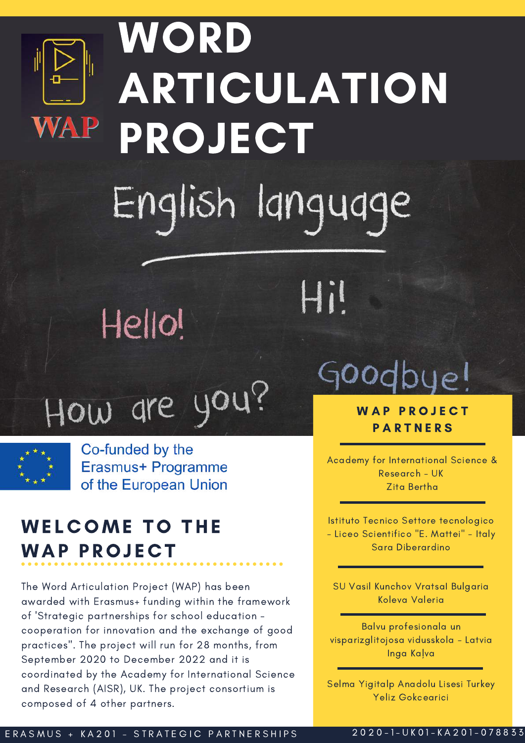

# WORD ARTICULATION **PROJECT** English language

Hil

## Hello!

How are you?



Co-funded by the Erasmus+ Programme of the European Union

#### **WELCOME TO THE WAP PROJECT**

The Word Articulation Project (WAP) has been awarded with Erasmus+ funding within the framework of 'Strategic partnerships for school education cooperation for innovation and the exchange of good practices". The project will run for 28 months, from September 2020 to December 2022 and it is coordinated by the Academy for International Science and Research (AISR), UK. The project consortium is composed of 4 other partners.

## Goodbye!

**WAP PROJECT PARTNERS** 

Academy for International Science & Research - UK Zita Bertha

Istituto Tecnico Settore tecnologico - Liceo Scientifico "E. Mattei" - Italy Sara Diberardino

SU Vasil Kunchov Vratsal Bulgaria Koleva Valeria

Balvu profesionala un visparizglitojosa vidusskola - Latvia Inga Kalva

Selma Yigitalp Anadolu Lisesi Turkey Yeliz Gokcearici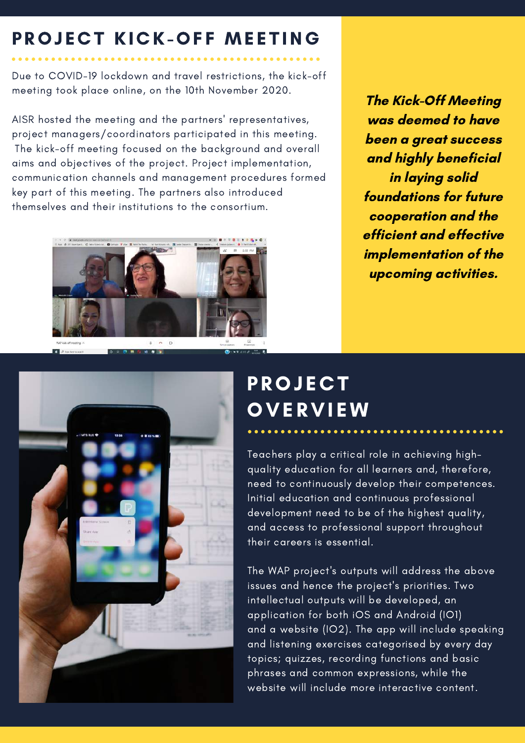#### PROJECT KICK-OFF MEETING

Due to COVID-19 lockdown and travel restrictions, the kick-off meeting took place online, on the 10th November 2020.

AISR hosted the meeting and the partners' representatives, project managers/coordinators participated in this meeting. The kick-off meeting focused on the background and overall aims and objectives of the project. Project implementation, communication channels and management procedures formed key part of this meeting. The partners also introduced themselves and their institutions to the consortium.



The Kick-Off Meeting was deemed to have been a great success and highly beneficial in laying solid foundations for future cooperation and the efficient and effective implementation of the upcoming activities.



### **PROJECT OVERVIEW**

Teachers play a critical role in achieving highquality education for all learners and, therefore, need to continuously develop their competences. Initial education and continuous professional development need to be of the highest quality, and access to professional support throughout their careers is essential.

The WAP project's outputs will address the above issues and hence the project's priorities. Two intellectual outputs will be developed, an application for both iOS and Android (IO1) and a website (IO2). The app will include speaking and listening exercises categorised by every day topics; quizzes, recording functions and basic phrases and common expressions, while the website will include more interactive content.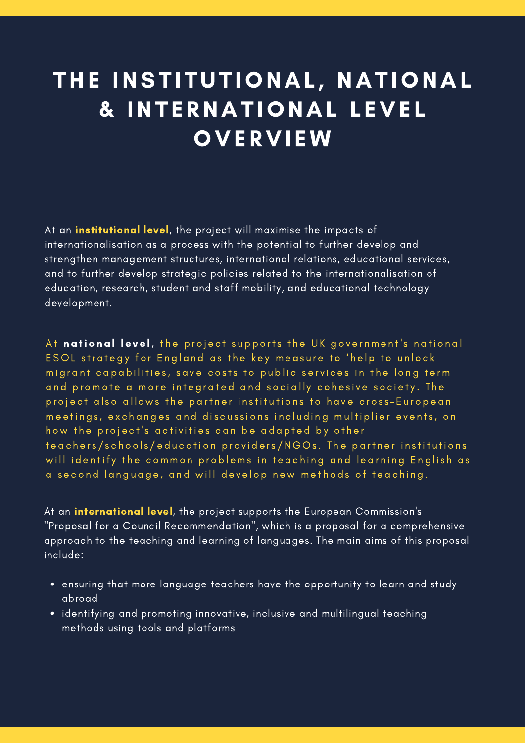## THE INSTITUTIONAL, NATIONAL & INT E RNAT IONAL L EVE L **OVERVIEW**

At an **institutional level**, the project will maximise the impacts of internationalisation as a process with the potential to further develop and strengthen management structures, international relations, educational services, and to further develop strategic policies related to the internationalisation of education, research, student and staff mobility, and educational technology development.

At national level, the project supports the UK government's national ESOL strategy for England as the key measure to 'help to unlock migrant capabilities, save costs to public services in the long term and promote a more integrated and socially cohesive society. The project also allows the partner institutions to have cross-European meetings, exchanges and discussions including multiplier events, on how the project's activities can be adapted by other teachers/schools/education providers/NGOs. The partner institutions will identify the common problems in teaching and learning English as a second language, and will develop new methods of teaching.

At an **international level**, the project supports the European Commission's "Proposal for a Council Recommendation", which is a proposal for a comprehensive approach to the teaching and learning of languages. The main aims of this proposal include:

- ensuring that more language teachers have the opportunity to learn and study abroad
- identifying and promoting innovative, inclusive and multilingual teaching methods using tools and platforms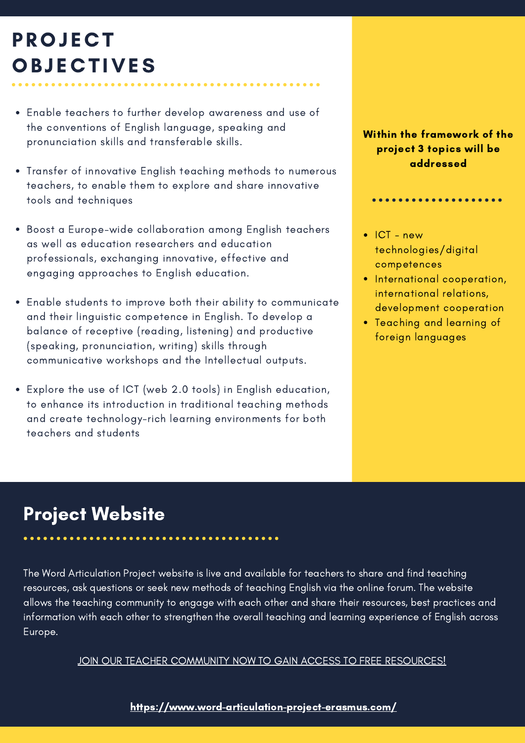## **PROJECT OBJECTIVES**

- Enable teachers to further develop awareness and use of the conventions of English language, speaking and pronunciation skills and transferable skills.
- Transfer of innovative English teaching methods to numerous teachers, to enable them to explore and share innovative tools and techniques
- Boost a Europe-wide collaboration among English teachers as well as education researchers and education professionals, exchanging innovative, effective and engaging approaches to English education.
- Enable students to improve both their ability to communicate and their linguistic competence in English. To develop a balance of receptive (reading, listening) and productive (speaking, pronunciation, writing) skills through communicative workshops and the Intellectual outputs.
- Explore the use of ICT (web 2.0 tools) in English education, to enhance its introduction in traditional teaching methods and create technology-rich learning environments for both teachers and students

#### Within the framework of the project 3 topics will be addressed

 $\bullet$  ICT - new technologies/digital competences

. . . . . . . . . . . . . . . . .

- International cooperation, international relations, development cooperation
- Teaching and learning of foreign languages

#### Project Website

The Word Articulation Project website is live and available for teachers to share and find teaching resources, ask questions or seek new methods of teaching English via the online forum. The website allows the teaching community to engage with each other and share their resources, best practices and information with each other to strengthen the overall teaching and learning experience of English across Europe.

JOIN OUR TEACHER COMMUNITY NOW TO GAIN ACCESS TO FREE [RESOURCES!](https://www.word-articulation-project-erasmus.com/forum)

<https://www.word-articulation-project-erasmus.com/>